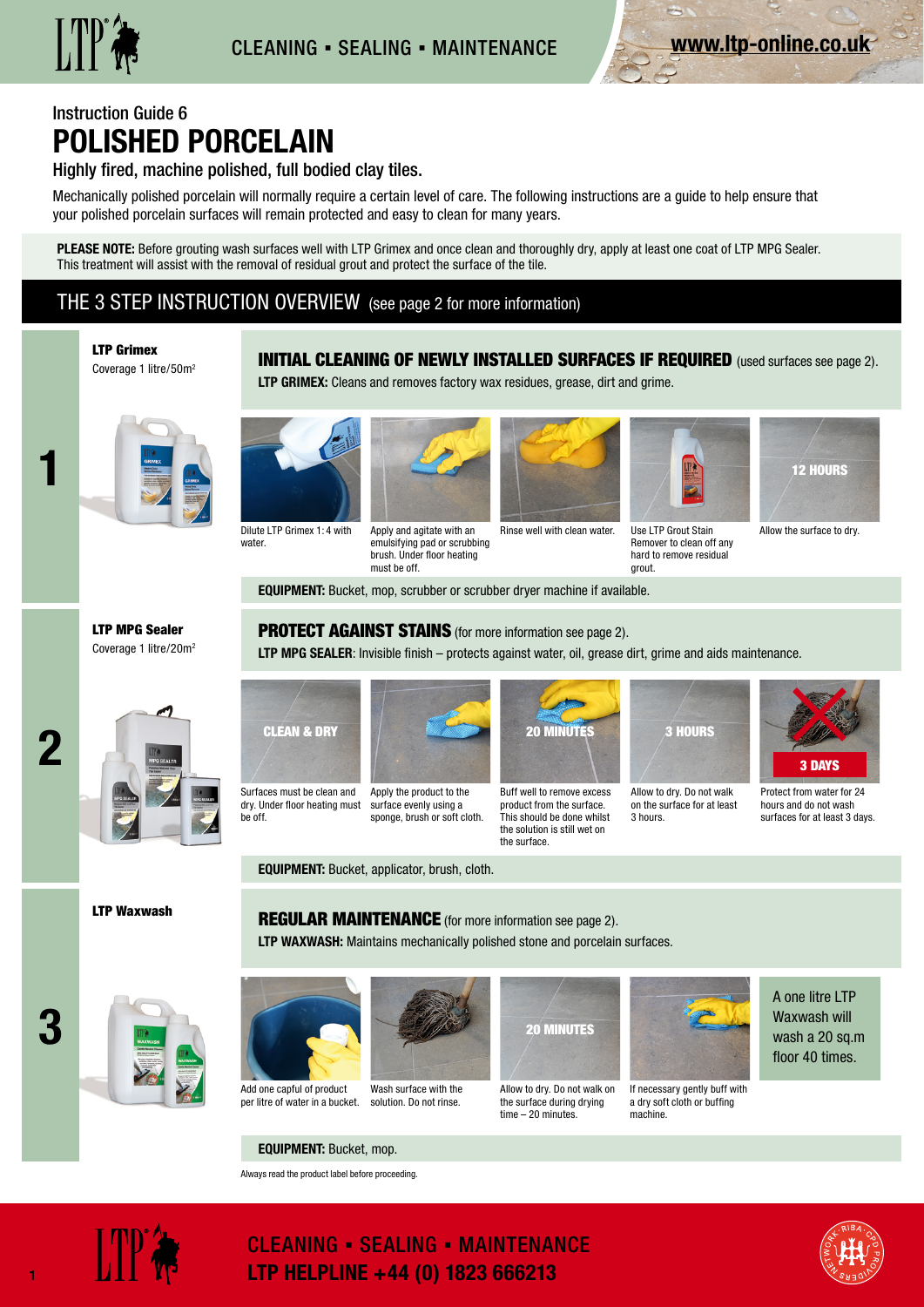

# Instruction Guide 6 **POLISHED PORCELAIN**

### Highly fired, machine polished, full bodied clay tiles.

Mechanically polished porcelain will normally require a certain level of care. The following instructions are a guide to help ensure that your polished porcelain surfaces will remain protected and easy to clean for many years.

**PLEASE NOTE:** Before grouting wash surfaces well with LTP Grimex and once clean and thoroughly dry, apply at least one coat of LTP MPG Sealer. This treatment will assist with the removal of residual grout and protect the surface of the tile.

**LTP GRIMEX:** Cleans and removes factory wax residues, grease, dirt and grime.

## THE 3 STEP INSTRUCTION OVERVIEW (see page 2 for more information)

LTP Grimex Coverage 1 litre/50m2

**1**

**2**





be off.



Apply and agitate with an

emulsifying pad or scrubbing brush. Under floor heating



INITIAL CLEANING OF NEWLY INSTALLED SURFACES IF REQUIRED (used surfaces see page 2).



Remover to clean off any hard to remove residual

grout.

12 HOURS

Allow the surface to dry.

LTP MPG Sealer Coverage 1 litre/20m2



PROTECT AGAINST STAINS (for more information see page 2).

**EQUIPMENT:** Bucket, mop, scrubber or scrubber dryer machine if available.

LTP MPG SEALER: Invisible finish - protects against water, oil, grease dirt, grime and aids maintenance.



must be off.

Surfaces must be clean and dry. Under floor heating must surface evenly using a Apply the product to the sponge, brush or soft cloth.

**EQUIPMENT:** Bucket, applicator, brush, cloth.



product from the surface. This should be done whilst the solution is still wet on the surface.



Allow to dry. Do not walk on the surface for at least 3 hours.



Protect from water for 24 hours and do not wash surfaces for at least 3 days.

LTP Waxwash



**REGULAR MAINTENANCE** (for more information see page 2). **LTP WAXWASH:** Maintains mechanically polished stone and porcelain surfaces.



per litre of water in a bucket. Wash surface with the solution. Do not rinse.



Allow to dry. Do not walk on the surface during drying  $time - 20$  minutes



If necessary gently buff with a dry soft cloth or buffing machine.





Always read the product label before proceeding.



**CLEANING - SEALING - MAINTENANCE LTP HELPLINE +44 (0) 1823 666213**



**3**

1